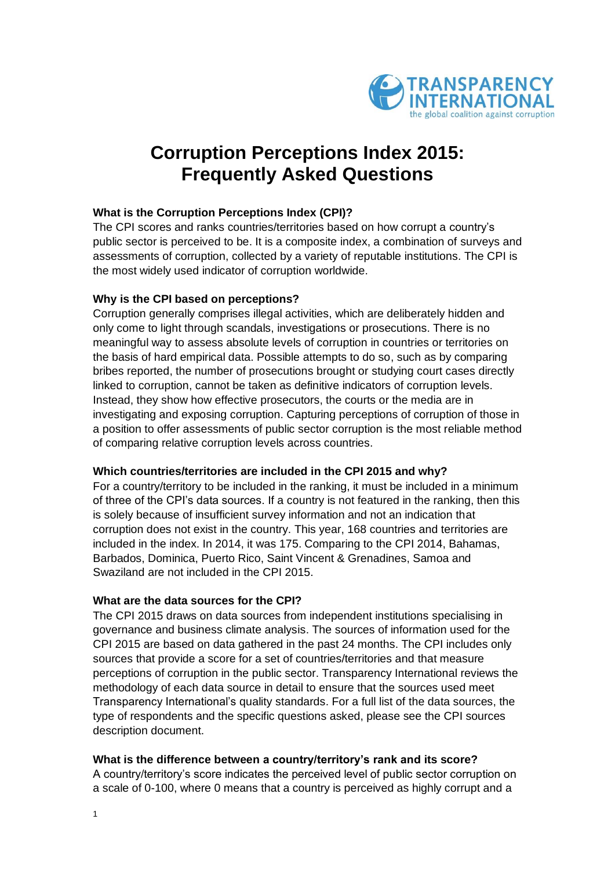

# **Corruption Perceptions Index 2015: Frequently Asked Questions**

# **What is the Corruption Perceptions Index (CPI)?**

The CPI scores and ranks countries/territories based on how corrupt a country's public sector is perceived to be. It is a composite index, a combination of surveys and assessments of corruption, collected by a variety of reputable institutions. The CPI is the most widely used indicator of corruption worldwide.

# **Why is the CPI based on perceptions?**

Corruption generally comprises illegal activities, which are deliberately hidden and only come to light through scandals, investigations or prosecutions. There is no meaningful way to assess absolute levels of corruption in countries or territories on the basis of hard empirical data. Possible attempts to do so, such as by comparing bribes reported, the number of prosecutions brought or studying court cases directly linked to corruption, cannot be taken as definitive indicators of corruption levels. Instead, they show how effective prosecutors, the courts or the media are in investigating and exposing corruption. Capturing perceptions of corruption of those in a position to offer assessments of public sector corruption is the most reliable method of comparing relative corruption levels across countries.

## **Which countries/territories are included in the CPI 2015 and why?**

For a country/territory to be included in the ranking, it must be included in a minimum of three of the CPI's data sources. If a country is not featured in the ranking, then this is solely because of insufficient survey information and not an indication that corruption does not exist in the country. This year, 168 countries and territories are included in the index. In 2014, it was 175. Comparing to the CPI 2014, Bahamas, Barbados, Dominica, Puerto Rico, Saint Vincent & Grenadines, Samoa and Swaziland are not included in the CPI 2015.

## **What are the data sources for the CPI?**

The CPI 2015 draws on data sources from independent institutions specialising in governance and business climate analysis. The sources of information used for the CPI 2015 are based on data gathered in the past 24 months. The CPI includes only sources that provide a score for a set of countries/territories and that measure perceptions of corruption in the public sector. Transparency International reviews the methodology of each data source in detail to ensure that the sources used meet Transparency International's quality standards. For a full list of the data sources, the type of respondents and the specific questions asked, please see the CPI sources description document.

## **What is the difference between a country/territory's rank and its score?**

A country/territory's score indicates the perceived level of public sector corruption on a scale of 0-100, where 0 means that a country is perceived as highly corrupt and a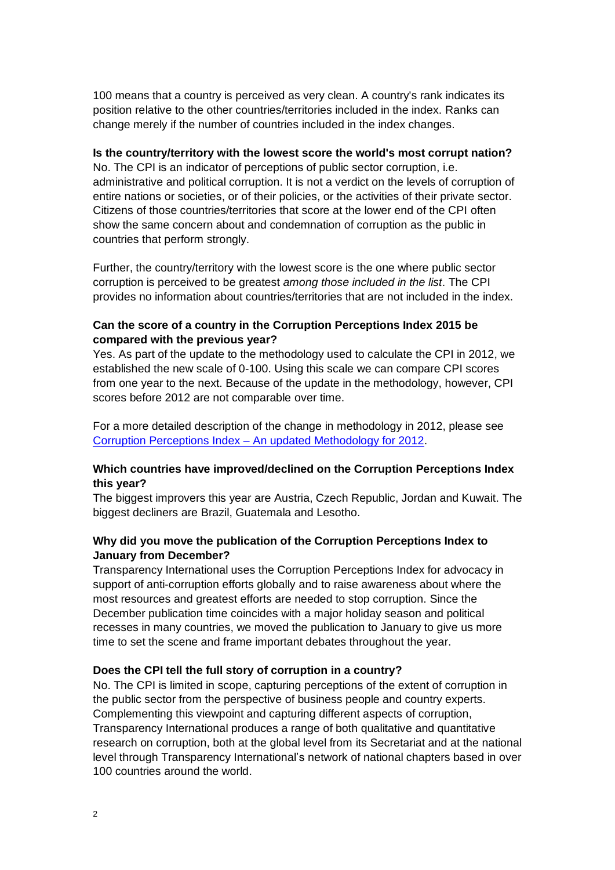100 means that a country is perceived as very clean. A country's rank indicates its position relative to the other countries/territories included in the index. Ranks can change merely if the number of countries included in the index changes.

#### **Is the country/territory with the lowest score the world's most corrupt nation?**

No. The CPI is an indicator of perceptions of public sector corruption, i.e. administrative and political corruption. It is not a verdict on the levels of corruption of entire nations or societies, or of their policies, or the activities of their private sector. Citizens of those countries/territories that score at the lower end of the CPI often show the same concern about and condemnation of corruption as the public in countries that perform strongly.

Further, the country/territory with the lowest score is the one where public sector corruption is perceived to be greatest *among those included in the list*. The CPI provides no information about countries/territories that are not included in the index.

# **Can the score of a country in the Corruption Perceptions Index 2015 be compared with the previous year?**

Yes. As part of the update to the methodology used to calculate the CPI in 2012, we established the new scale of 0-100. Using this scale we can compare CPI scores from one year to the next. Because of the update in the methodology, however, CPI scores before 2012 are not comparable over time.

For a more detailed description of the change in methodology in 2012, please see Corruption Perceptions Index – [An updated Methodology for 2012.](http://www.transparency.org/files/content/pressrelease/2012_CPIUpdatedMethodology_EMBARGO_EN.pdf)

## **Which countries have improved/declined on the Corruption Perceptions Index this year?**

The biggest improvers this year are Austria, Czech Republic, Jordan and Kuwait. The biggest decliners are Brazil, Guatemala and Lesotho.

# **Why did you move the publication of the Corruption Perceptions Index to January from December?**

Transparency International uses the Corruption Perceptions Index for advocacy in support of anti-corruption efforts globally and to raise awareness about where the most resources and greatest efforts are needed to stop corruption. Since the December publication time coincides with a major holiday season and political recesses in many countries, we moved the publication to January to give us more time to set the scene and frame important debates throughout the year.

## **Does the CPI tell the full story of corruption in a country?**

No. The CPI is limited in scope, capturing perceptions of the extent of corruption in the public sector from the perspective of business people and country experts. Complementing this viewpoint and capturing different aspects of corruption, Transparency International produces a range of both qualitative and quantitative research on corruption, both at the global level from its Secretariat and at the national level through Transparency International's network of national chapters based in over 100 countries around the world.